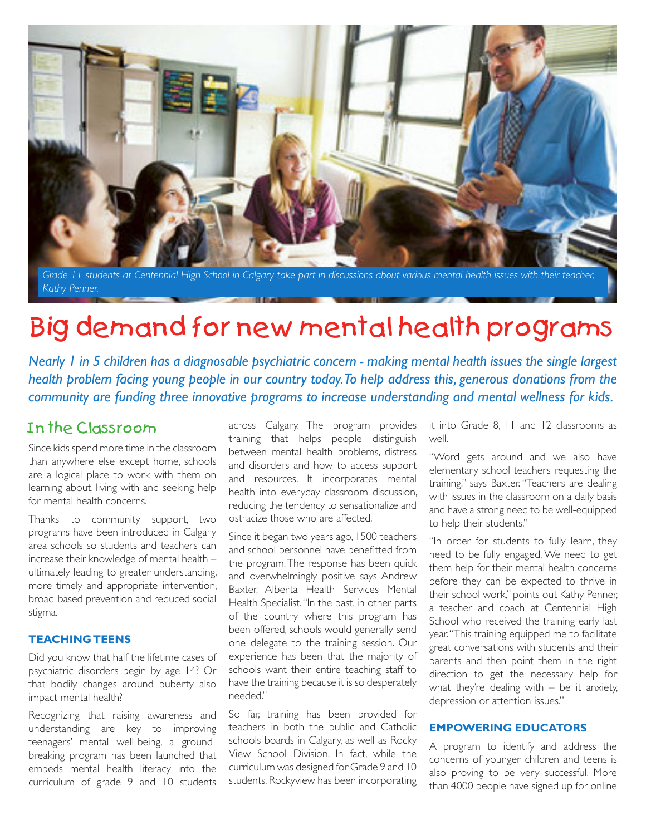

Grade 11 students at Centennial High School in Calgary take part in discussions about various mental health issues with their teache *Kathy Penner.*

# Big demand for new mental health programs

*Nearly 1 in 5 children has a diagnosable psychiatric concern - making mental health issues the single largest health problem facing young people in our country today. To help address this, generous donations from the community are funding three innovative programs to increase understanding and mental wellness for kids.*

## In the Classroom

Since kids spend more time in the classroom than anywhere else except home, schools are a logical place to work with them on learning about, living with and seeking help for mental health concerns.

Thanks to community support, two programs have been introduced in Calgary area schools so students and teachers can increase their knowledge of mental health – ultimately leading to greater understanding, more timely and appropriate intervention, broad-based prevention and reduced social stigma.

#### **TEACHING TEENS**

Did you know that half the lifetime cases of psychiatric disorders begin by age 14? Or that bodily changes around puberty also impact mental health?

Recognizing that raising awareness and understanding are key to improving teenagers' mental well-being, a groundbreaking program has been launched that embeds mental health literacy into the curriculum of grade 9 and 10 students

across Calgary. The program provides training that helps people distinguish between mental health problems, distress and disorders and how to access support and resources. It incorporates mental health into everyday classroom discussion, reducing the tendency to sensationalize and ostracize those who are affected.

Since it began two years ago, 1500 teachers and school personnel have benefitted from the program. The response has been quick and overwhelmingly positive says Andrew Baxter, Alberta Health Services Mental Health Specialist. "In the past, in other parts of the country where this program has been offered, schools would generally send one delegate to the training session. Our experience has been that the majority of schools want their entire teaching staff to have the training because it is so desperately needed."

So far, training has been provided for teachers in both the public and Catholic schools boards in Calgary, as well as Rocky View School Division. In fact, while the curriculum was designed for Grade 9 and 10 students, Rockyview has been incorporating

it into Grade 8, 11 and 12 classrooms as well.

"Word gets around and we also have elementary school teachers requesting the training," says Baxter. "Teachers are dealing with issues in the classroom on a daily basis and have a strong need to be well-equipped to help their students."

"In order for students to fully learn, they need to be fully engaged. We need to get them help for their mental health concerns before they can be expected to thrive in their school work," points out Kathy Penner, a teacher and coach at Centennial High School who received the training early last year. "This training equipped me to facilitate great conversations with students and their parents and then point them in the right direction to get the necessary help for what they're dealing with  $-$  be it anxiety, depression or attention issues."

#### **EMPOWERING EDUCATORS**

A program to identify and address the concerns of younger children and teens is also proving to be very successful. More than 4000 people have signed up for online